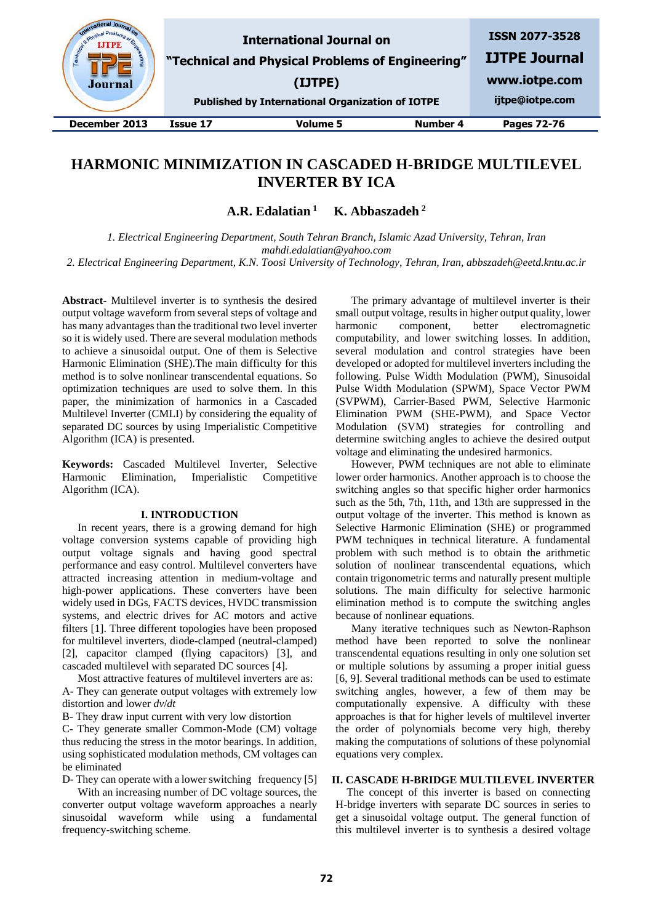| Journal       |                 | <b>International Journal on</b><br>"Technical and Physical Problems of Engineering"<br>(IJTPE)<br><b>Published by International Organization of IOTPE</b> |          | <b>ISSN 2077-3528</b><br><b>IJTPE Journal</b><br>www.iotpe.com<br>ijtpe@iotpe.com |
|---------------|-----------------|-----------------------------------------------------------------------------------------------------------------------------------------------------------|----------|-----------------------------------------------------------------------------------|
| December 2013 | <b>Issue 17</b> | <b>Volume 5</b>                                                                                                                                           | Number 4 | Pages 72-76                                                                       |

# **HARMONIC MINIMIZATION IN CASCADED H-BRIDGE MULTILEVEL INVERTER BY ICA**

**A.R. Edalatian <sup>1</sup> K. Abbaszadeh <sup>2</sup>**

*1. Electrical Engineering Department, South Tehran Branch, Islamic Azad University, Tehran, Iran mahdi.edalatian@yahoo.com*

*2. Electrical Engineering Department, K.N. Toosi University of Technology, Tehran, Iran, abbszadeh@eetd.kntu.ac.ir*

**Abstract-** Multilevel inverter is to synthesis the desired output voltage waveform from several steps of voltage and has many advantages than the traditional two level inverter so it is widely used. There are several modulation methods to achieve a sinusoidal output. One of them is Selective Harmonic Elimination (SHE).The main difficulty for this method is to solve nonlinear transcendental equations. So optimization techniques are used to solve them. In this paper, the minimization of harmonics in a Cascaded Multilevel Inverter (CMLI) by considering the equality of separated DC sources by using Imperialistic Competitive Algorithm (ICA) is presented.

**Keywords:** Cascaded Multilevel Inverter, Selective Harmonic Elimination, Imperialistic Competitive Algorithm (ICA).

### **I. INTRODUCTION**

In recent years, there is a growing demand for high voltage conversion systems capable of providing high output voltage signals and having good spectral performance and easy control. Multilevel converters have attracted increasing attention in medium-voltage and high-power applications. These converters have been widely used in DGs, FACTS devices, HVDC transmission systems, and electric drives for AC motors and active filters [1]. Three different topologies have been proposed for multilevel inverters, diode-clamped (neutral-clamped) [2], capacitor clamped (flying capacitors) [3], and cascaded multilevel with separated DC sources [4].

Most attractive features of multilevel inverters are as: A- They can generate output voltages with extremely low distortion and lower *dv*/*dt*

B- They draw input current with very low distortion

C- They generate smaller Common-Mode (CM) voltage thus reducing the stress in the motor bearings. In addition, using sophisticated modulation methods, CM voltages can be eliminated

D- They can operate with a lower switching frequency [5]

With an increasing number of DC voltage sources, the converter output voltage waveform approaches a nearly sinusoidal waveform while using a fundamental frequency-switching scheme.

The primary advantage of multilevel inverter is their small output voltage, results in higher output quality, lower harmonic component, better electromagnetic computability, and lower switching losses. In addition, several modulation and control strategies have been developed or adopted for multilevel inverters including the following. Pulse Width Modulation (PWM), Sinusoidal Pulse Width Modulation (SPWM), Space Vector PWM (SVPWM), Carrier-Based PWM, Selective Harmonic Elimination PWM (SHE-PWM), and Space Vector Modulation (SVM) strategies for controlling and determine switching angles to achieve the desired output voltage and eliminating the undesired harmonics.

However, PWM techniques are not able to eliminate lower order harmonics. Another approach is to choose the switching angles so that specific higher order harmonics such as the 5th, 7th, 11th, and 13th are suppressed in the output voltage of the inverter. This method is known as Selective Harmonic Elimination (SHE) or programmed PWM techniques in technical literature. A fundamental problem with such method is to obtain the arithmetic solution of nonlinear transcendental equations, which contain trigonometric terms and naturally present multiple solutions. The main difficulty for selective harmonic elimination method is to compute the switching angles because of nonlinear equations.

Many iterative techniques such as Newton-Raphson method have been reported to solve the nonlinear transcendental equations resulting in only one solution set or multiple solutions by assuming a proper initial guess [6, 9]. Several traditional methods can be used to estimate switching angles, however, a few of them may be computationally expensive. A difficulty with these approaches is that for higher levels of multilevel inverter the order of polynomials become very high, thereby making the computations of solutions of these polynomial equations very complex.

# **II. CASCADE H-BRIDGE MULTILEVEL INVERTER**

 The concept of this inverter is based on connecting H-bridge inverters with separate DC sources in series to get a sinusoidal voltage output. The general function of this multilevel inverter is to synthesis a desired voltage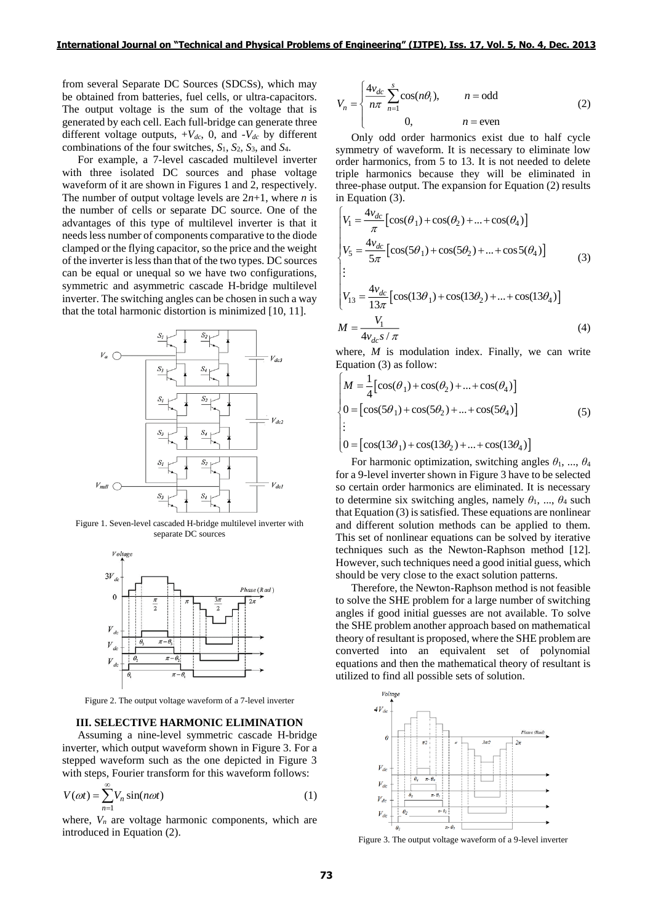from several Separate DC Sources (SDCSs), which may be obtained from batteries, fuel cells, or ultra-capacitors. The output voltage is the sum of the voltage that is generated by each cell. Each full-bridge can generate three different voltage outputs,  $+V_{dc}$ , 0, and  $-V_{dc}$  by different combinations of the four switches, *S*1, *S*2, *S*3, and *S*4.

For example, a 7-level cascaded multilevel inverter with three isolated DC sources and phase voltage waveform of it are shown in Figures 1 and 2, respectively. The number of output voltage levels are  $2n+1$ , where *n* is the number of cells or separate DC source. One of the advantages of this type of multilevel inverter is that it needs less number of components comparative to the diode clamped or the flying capacitor, so the price and the weight of the inverter is less than that of the two types. DC sources can be equal or unequal so we have two configurations, symmetric and asymmetric cascade H-bridge multilevel inverter. The switching angles can be chosen in such a way that the total harmonic distortion is minimized [10, 11].



Figure 1. Seven-level cascaded H-bridge multilevel inverter with separate DC sources



Figure 2. The output voltage waveform of a 7-level inverter

#### **III. SELECTIVE HARMONIC ELIMINATION**

Assuming a nine-level symmetric cascade H-bridge inverter, which output waveform shown in Figure 3. For a stepped waveform such as the one depicted in Figure 3 with steps, Fourier transform for this waveform follows:

$$
V(\omega t) = \sum_{n=1}^{\infty} V_n \sin(n\omega t)
$$
 (1)

where,  $V_n$  are voltage harmonic components, which are introduced in Equation (2).

$$
V_n = \begin{cases} \frac{4v_{dc}}{n\pi} \sum_{n=1}^{s} \cos(n\theta_i), & n = \text{odd} \\ 0, & n = \text{even} \end{cases} \tag{2}
$$

Only odd order harmonics exist due to half cycle symmetry of waveform. It is necessary to eliminate low order harmonics, from 5 to 13. It is not needed to delete triple harmonics because they will be eliminated in three-phase output. The expansion for Equation (2) results in Equation (3).

$$
\begin{cases}\nV_1 = \frac{4v_{dc}}{\pi} \left[ \cos(\theta_1) + \cos(\theta_2) + \dots + \cos(\theta_4) \right] \\
V_5 = \frac{4v_{dc}}{5\pi} \left[ \cos(5\theta_1) + \cos(5\theta_2) + \dots + \cos(5\theta_4) \right] \\
\vdots \\
V_{13} = \frac{4v_{dc}}{13\pi} \left[ \cos(13\theta_1) + \cos(13\theta_2) + \dots + \cos(13\theta_4) \right]\n\end{cases}
$$
\n(3)

$$
M = \frac{V_1}{4v_{dc}s/\pi} \tag{4}
$$

where, *M* is modulation index. Finally, we can write Equation (3) as follow:

$$
\begin{cases}\nM = \frac{1}{4} [\cos(\theta_1) + \cos(\theta_2) + ... + \cos(\theta_4)] \\
0 = [\cos(5\theta_1) + \cos(5\theta_2) + ... + \cos(5\theta_4)] \\
\vdots \\
0 = [\cos(13\theta_1) + \cos(13\theta_2) + ... + \cos(13\theta_4)]\n\end{cases} (5)
$$

For harmonic optimization, switching angles  $\theta_1$ , ...,  $\theta_4$ for a 9-level inverter shown in Figure 3 have to be selected so certain order harmonics are eliminated. It is necessary to determine six switching angles, namely  $\theta_1$ , ...,  $\theta_4$  such that Equation (3) is satisfied. These equations are nonlinear and different solution methods can be applied to them. This set of nonlinear equations can be solved by iterative techniques such as the Newton-Raphson method [12]. However, such techniques need a good initial guess, which should be very close to the exact solution patterns.

Therefore, the Newton-Raphson method is not feasible to solve the SHE problem for a large number of switching angles if good initial guesses are not available. To solve the SHE problem another approach based on mathematical theory of resultant is proposed, where the SHE problem are converted into an equivalent set of polynomial equations and then the mathematical theory of resultant is utilized to find all possible sets of solution.



Figure 3. The output voltage waveform of a 9-level inverter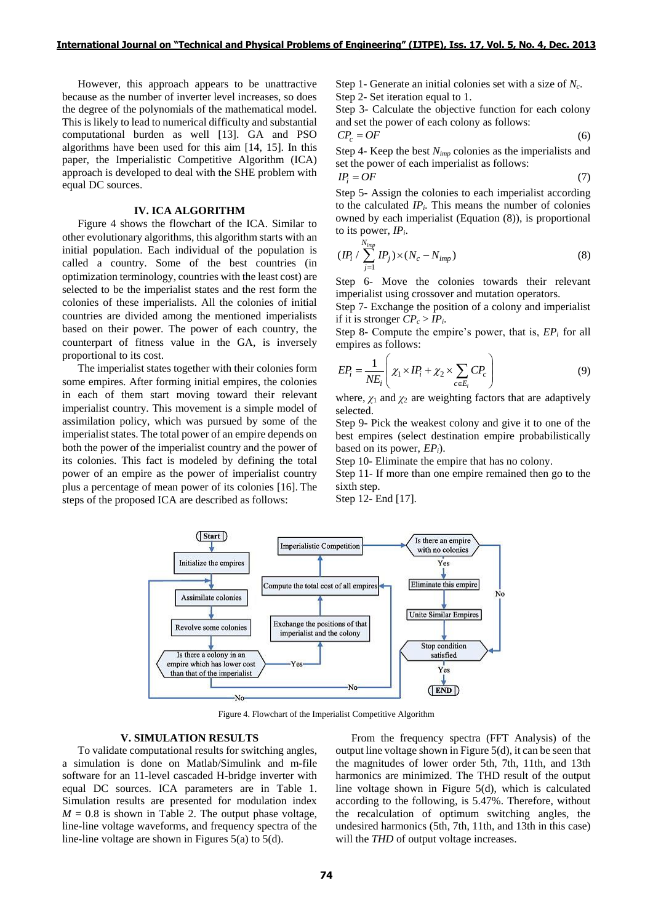However, this approach appears to be unattractive because as the number of inverter level increases, so does the degree of the polynomials of the mathematical model. This is likely to lead to numerical difficulty and substantial computational burden as well [13]. GA and PSO algorithms have been used for this aim [14, 15]. In this paper, the Imperialistic Competitive Algorithm (ICA) approach is developed to deal with the SHE problem with equal DC sources.

#### **IV. ICA ALGORITHM**

Figure 4 shows the flowchart of the ICA. Similar to other evolutionary algorithms, this algorithm starts with an initial population. Each individual of the population is called a country. Some of the best countries (in optimization terminology, countries with the least cost) are selected to be the imperialist states and the rest form the colonies of these imperialists. All the colonies of initial countries are divided among the mentioned imperialists based on their power. The power of each country, the counterpart of fitness value in the GA, is inversely proportional to its cost.

The imperialist states together with their colonies form some empires. After forming initial empires, the colonies in each of them start moving toward their relevant imperialist country. This movement is a simple model of assimilation policy, which was pursued by some of the imperialist states. The total power of an empire depends on both the power of the imperialist country and the power of its colonies. This fact is modeled by defining the total power of an empire as the power of imperialist country plus a percentage of mean power of its colonies [16]. The steps of the proposed ICA are described as follows:

Step 1- Generate an initial colonies set with a size of *Nc*. Step 2- Set iteration equal to 1.

Step 3- Calculate the objective function for each colony and set the power of each colony as follows:

$$
CP_c = OF \tag{6}
$$

Step 4- Keep the best *Nimp* colonies as the imperialists and set the power of each imperialist as follows:

$$
IP_i = OF \tag{7}
$$

Step 5- Assign the colonies to each imperialist according to the calculated *IPi.* This means the number of colonies owned by each imperialist (Equation (8)), is proportional to its power, *IPi*.

$$
(IP_i / \sum_{j=1}^{N_{imp}} IP_j) \times (N_c - N_{imp})
$$
\n(8)

Step 6- Move the colonies towards their relevant imperialist using crossover and mutation operators.

Step 7- Exchange the position of a colony and imperialist if it is stronger  $CP_c > IP_i$ .

Step 8- Compute the empire's power, that is, *EP<sup>i</sup>* for all empires as follows:

$$
EP_i = \frac{1}{NE_i} \left( \chi_1 \times IP_i + \chi_2 \times \sum_{c \in E_i} CP_c \right)
$$
 (9)

where,  $\chi_1$  and  $\chi_2$  are weighting factors that are adaptively selected.

Step 9- Pick the weakest colony and give it to one of the best empires (select destination empire probabilistically based on its power, *EPi*).

Step 10- Eliminate the empire that has no colony.

Step 11- If more than one empire remained then go to the sixth step.

Step 12- End [17].

 $\lambda$ *j* 



Figure 4. Flowchart of the Imperialist Competitive Algorithm

# **V. SIMULATION RESULTS**

To validate computational results for switching angles, a simulation is done on Matlab/Simulink and m-file software for an 11-level cascaded H-bridge inverter with equal DC sources. ICA parameters are in Table 1. Simulation results are presented for modulation index  $M = 0.8$  is shown in Table 2. The output phase voltage, line-line voltage waveforms, and frequency spectra of the line-line voltage are shown in Figures 5(a) to 5(d).

From the frequency spectra (FFT Analysis) of the output line voltage shown in Figure 5(d), it can be seen that the magnitudes of lower order 5th, 7th, 11th, and 13th harmonics are minimized. The THD result of the output line voltage shown in Figure 5(d), which is calculated according to the following, is 5.47%. Therefore, without the recalculation of optimum switching angles, the undesired harmonics (5th, 7th, 11th, and 13th in this case) will the *THD* of output voltage increases.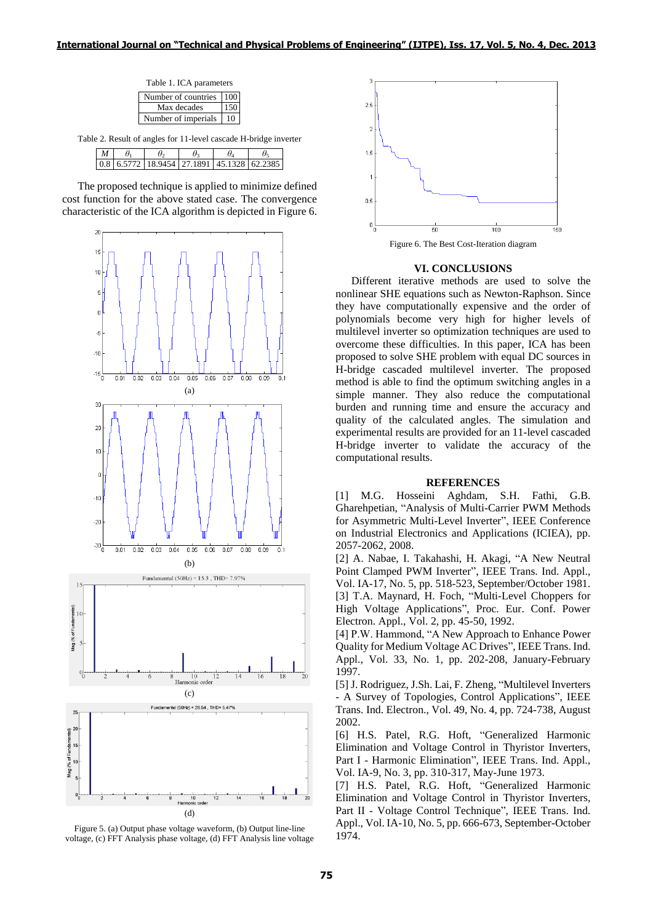| Table 1. ICA parameters |     |  |  |  |
|-------------------------|-----|--|--|--|
| Number of countries     | 100 |  |  |  |
| Max decades             | 150 |  |  |  |
| Number of imperials     |     |  |  |  |

Table 2. Result of angles for 11-level cascade H-bridge inverter

|  |  | 0 8 6 5772 18 9454 27 1891 45 1328 62 2385 1 |  |
|--|--|----------------------------------------------|--|

The proposed technique is applied to minimize defined cost function for the above stated case. The convergence characteristic of the ICA algorithm is depicted in Figure 6.



Figure 5. (a) Output phase voltage waveform, (b) Output line-line voltage, (c) FFT Analysis phase voltage, (d) FFT Analysis line voltage



#### **VI. CONCLUSIONS**

Different iterative methods are used to solve the nonlinear SHE equations such as Newton-Raphson. Since they have computationally expensive and the order of polynomials become very high for higher levels of multilevel inverter so optimization techniques are used to overcome these difficulties. In this paper, ICA has been proposed to solve SHE problem with equal DC sources in H-bridge cascaded multilevel inverter. The proposed method is able to find the optimum switching angles in a simple manner. They also reduce the computational burden and running time and ensure the accuracy and quality of the calculated angles. The simulation and experimental results are provided for an 11-level cascaded H-bridge inverter to validate the accuracy of the computational results.

#### **REFERENCES**

[1] M.G. Hosseini Aghdam, S.H. Fathi, G.B. Gharehpetian, "Analysis of Multi-Carrier PWM Methods for Asymmetric Multi-Level Inverter", IEEE Conference on Industrial Electronics and Applications (ICIEA), pp. 2057-2062, 2008.

[2] A. Nabae, I. Takahashi, H. Akagi, "A New Neutral Point Clamped PWM Inverter", IEEE Trans. Ind. Appl., Vol. IA-17, No. 5, pp. 518-523, September/October 1981. [3] T.A. Maynard, H. Foch, "Multi-Level Choppers for High Voltage Applications", Proc. Eur. Conf. Power Electron. Appl., Vol. 2, pp. 45-50, 1992.

[4] P.W. Hammond, "A New Approach to Enhance Power Quality for Medium Voltage AC Drives", IEEE Trans. Ind. Appl., Vol. 33, No. 1, pp. 202-208, January-February 1997.

[5] J. Rodriguez, J.Sh. Lai, F. Zheng, "Multilevel Inverters - A Survey of Topologies, Control Applications", IEEE Trans. Ind. Electron., Vol. 49, No. 4, pp. 724-738, August 2002.

[6] H.S. Patel, R.G. Hoft, "Generalized Harmonic Elimination and Voltage Control in Thyristor Inverters, Part I - Harmonic Elimination", IEEE Trans. Ind. Appl., Vol. IA-9, No. 3, pp. 310-317, May-June 1973.

[7] H.S. Patel, R.G. Hoft, "Generalized Harmonic Elimination and Voltage Control in Thyristor Inverters, Part II - Voltage Control Technique", IEEE Trans. Ind. Appl., Vol. IA-10, No. 5, pp. 666-673, September-October 1974.